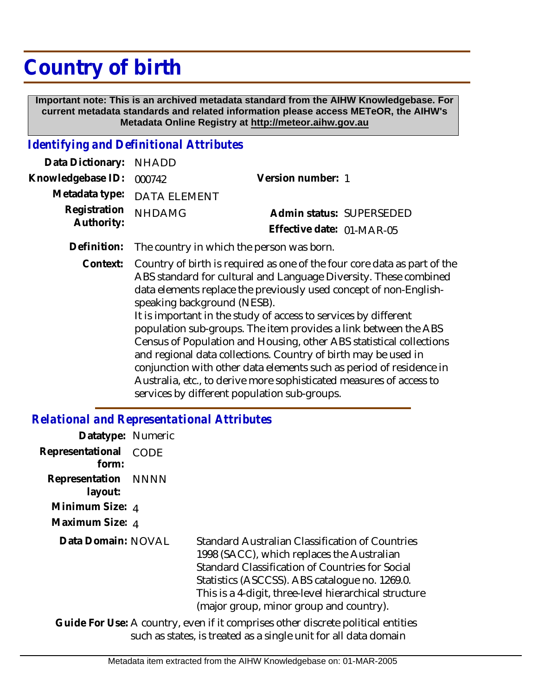## **Country of birth**

 **Important note: This is an archived metadata standard from the AIHW Knowledgebase. For current metadata standards and related information please access METeOR, the AIHW's Metadata Online Registry at http://meteor.aihw.gov.au**

## *Identifying and Definitional Attributes*

| Data Dictionary: NHADD   |                                                       |                           |                          |
|--------------------------|-------------------------------------------------------|---------------------------|--------------------------|
| Knowledgebase ID: 000742 |                                                       | Version number: 1         |                          |
|                          | Metadata type: DATA ELEMENT                           |                           |                          |
| Registration             | <b>NHDAMG</b>                                         |                           | Admin status: SUPERSEDED |
| Authority:               |                                                       | Effective date: 01-MAR-05 |                          |
|                          | Definition: The country in which the person was born. |                           |                          |

Context: Country of birth is required as one of the four core data as part of the ABS standard for cultural and Language Diversity. These combined data elements replace the previously used concept of non-Englishspeaking background (NESB). It is important in the study of access to services by different

population sub-groups. The item provides a link between the ABS Census of Population and Housing, other ABS statistical collections and regional data collections. Country of birth may be used in conjunction with other data elements such as period of residence in Australia, etc., to derive more sophisticated measures of access to services by different population sub-groups.

## *Relational and Representational Attributes*

| Datatype: Numeric                                                                |             |                                                                                                                                                                                                                                                                                                        |  |
|----------------------------------------------------------------------------------|-------------|--------------------------------------------------------------------------------------------------------------------------------------------------------------------------------------------------------------------------------------------------------------------------------------------------------|--|
| Representational<br>form:                                                        | <b>CODE</b> |                                                                                                                                                                                                                                                                                                        |  |
| Representation NNNN<br>layout:                                                   |             |                                                                                                                                                                                                                                                                                                        |  |
| Minimum Size: $_4$                                                               |             |                                                                                                                                                                                                                                                                                                        |  |
| Maximum Size: 4                                                                  |             |                                                                                                                                                                                                                                                                                                        |  |
| Data Domain: NOVAL                                                               |             | Standard Australian Classification of Countries<br>1998 (SACC), which replaces the Australian<br>Standard Classification of Countries for Social<br>Statistics (ASCCSS). ABS catalogue no. 1269.0.<br>This is a 4-digit, three-level hierarchical structure<br>(major group, minor group and country). |  |
| Guide For Use: A country, even if it comprises other discrete political entities |             |                                                                                                                                                                                                                                                                                                        |  |

such as states, is treated as a single unit for all data domain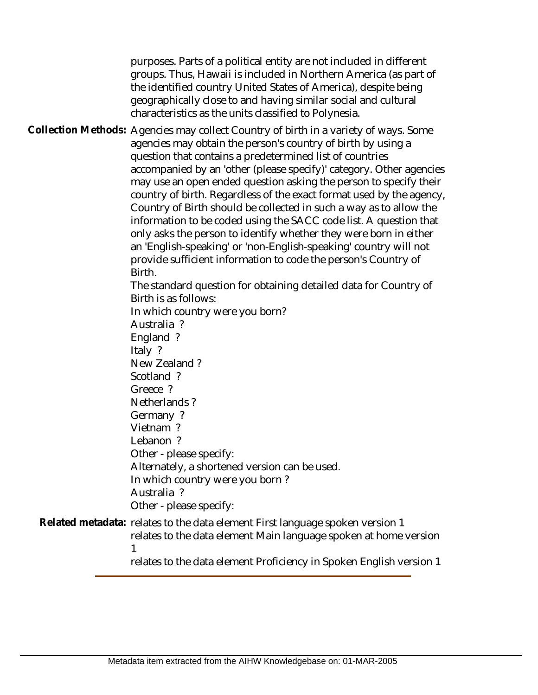purposes. Parts of a political entity are not included in different groups. Thus, Hawaii is included in Northern America (as part of the identified country United States of America), despite being geographically close to and having similar social and cultural characteristics as the units classified to Polynesia. Collection Methods: Agencies may collect Country of birth in a variety of ways. Some agencies may obtain the person's country of birth by using a question that contains a predetermined list of countries accompanied by an 'other (please specify)' category. Other agencies may use an open ended question asking the person to specify their country of birth. Regardless of the exact format used by the agency, Country of Birth should be collected in such a way as to allow the information to be coded using the SACC code list. A question that only asks the person to identify whether they were born in either an 'English-speaking' or 'non-English-speaking' country will not provide sufficient information to code the person's Country of Birth. The standard question for obtaining detailed data for Country of Birth is as follows: In which country were you born? Australia ? England ? Italy ? New Zealand ? Scotland ? Greece ? Netherlands ? Germany ? Vietnam ? Lebanon ? Other - please specify: Alternately, a shortened version can be used. In which country were you born ? Australia ? Other - please specify: Related metadata: relates to the data element First language spoken version 1 relates to the data element Main language spoken at home version 1

relates to the data element Proficiency in Spoken English version 1